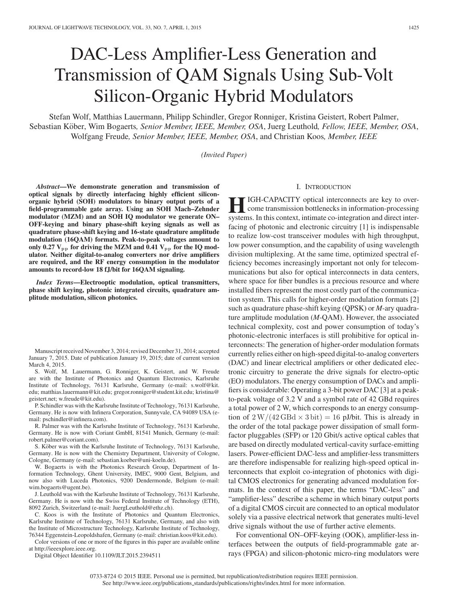# DAC-Less Amplifier-Less Generation and Transmission of QAM Signals Using Sub-Volt Silicon-Organic Hybrid Modulators

Stefan Wolf, Matthias Lauermann, Philipp Schindler, Gregor Ronniger, Kristina Geistert, Robert Palmer, Sebastian Köber, Wim Bogaerts, Senior Member, IEEE, Member, OSA, Juerg Leuthold, Fellow, IEEE, Member, OSA, Wolfgang Freude*, Senior Member, IEEE, Member, OSA*, and Christian Koos*, Member, IEEE*

*(Invited Paper)*

*Abstract***—We demonstrate generation and transmission of optical signals by directly interfacing highly efficient siliconorganic hybrid (SOH) modulators to binary output ports of a field-programmable gate array. Using an SOH Mach–Zehnder modulator (MZM) and an SOH IQ modulator we generate ON– OFF-keying and binary phase-shift keying signals as well as quadrature phase-shift keying and 16-state quadrature amplitude modulation (16QAM) formats. Peak-to-peak voltages amount to** only 0.27  $V_{\text{pp}}$  for driving the MZM and 0.41  $V_{\text{pp}}$  for the IQ mod**ulator. Neither digital-to-analog converters nor drive amplifiers are required, and the RF energy consumption in the modulator amounts to record-low 18 fJ/bit for 16QAM signaling.**

*Index Terms***—Electrooptic modulation, optical transmitters, phase shift keying, photonic integrated circuits, quadrature amplitude modulation, silicon photonics.**

Manuscript received November 3, 2014; revised December 31, 2014; accepted January 7, 2015. Date of publication January 19, 2015; date of current version March 4, 2015.

S. Wolf, M. Lauermann, G. Ronniger, K. Geistert, and W. Freude are with the Institute of Photonics and Quantum Electronics, Karlsruhe Institute of Technology, 76131 Karlsruhe, Germany (e-mail: s.wolf@kit. edu; matthias.lauermann@kit.edu; gregor.ronniger@student.kit.edu; kristina@ geistert.net; w.freude@kit.edu).

P. Schindler was with the Karlsruhe Institute of Technology, 76131 Karlsruhe, Germany. He is now with Infinera Corporation, Sunnyvale, CA 94089 USA (email: pschindler@infinera.com).

R. Palmer was with the Karlsruhe Institute of Technology, 76131 Karlsruhe, Germany. He is now with Coriant GmbH, 81541 Munich, Germany (e-mail: robert.palmer@coriant.com).

S. Köber was with the Karlsruhe Institute of Technology, 76131 Karlsruhe, Germany. He is now with the Chemistry Department, University of Cologne, Cologne, Germany (e-mail: sebastian.koeber@uni-koeln.de).

W. Bogaerts is with the Photonics Research Group, Department of Information Technology, Ghent University, IMEC, 9000 Gent, Belgium, and now also with Luceda Photonics, 9200 Dendermonde, Belgium (e-mail: wim.bogaerts@ugent.be).

J. Leuthold was with the Karlsruhe Institute of Technology, 76131 Karlsruhe, Germany. He is now with the Swiss Federal Institute of Technology (ETH), 8092 Zurich, Switzerland (e-mail: JuergLeuthold@ethz.ch).

C. Koos is with the Institute of Photonics and Quantum Electronics, Karlsruhe Institute of Technology, 76131 Karlsruhe, Germany, and also with the Institute of Microstructure Technology, Karlsruhe Institute of Technology, 76344 Eggenstein-Leopoldshafen, Germany (e-mail: christian.koos@kit.edu).

Color versions of one or more of the figures in this paper are available online at http://ieeexplore.ieee.org.

Digital Object Identifier 10.1109/JLT.2015.2394511

#### I. INTRODUCTION

**HIGH-CAPACITY** optical interconnects are key to over-<br>come transmission bottlenecks in information-processing<br>systems. In this context, intimate co, integration and direct intersystems. In this context, intimate co-integration and direct interfacing of photonic and electronic circuitry [1] is indispensable to realize low-cost transceiver modules with high throughput, low power consumption, and the capability of using wavelength division multiplexing. At the same time, optimized spectral efficiency becomes increasingly important not only for telecommunications but also for optical interconnects in data centers, where space for fiber bundles is a precious resource and where installed fibers represent the most costly part of the communication system. This calls for higher-order modulation formats [2] such as quadrature phase-shift keying (QPSK) or *M*-ary quadrature amplitude modulation (*M*-QAM). However, the associated technical complexity, cost and power consumption of today's photonic-electronic interfaces is still prohibitive for optical interconnects: The generation of higher-order modulation formats currently relies either on high-speed digital-to-analog converters (DAC) and linear electrical amplifiers or other dedicated electronic circuitry to generate the drive signals for electro-optic (EO) modulators. The energy consumption of DACs and amplifiers is considerable: Operating a 3-bit power DAC [3] at a peakto-peak voltage of 3.2 V and a symbol rate of 42 GBd requires a total power of 2 W, which corresponds to an energy consumption of  $2 \text{ W}/(42 \text{ GBd} \times 3 \text{ bit}) = 16 \text{ pJ/bit}$ . This is already in the order of the total package power dissipation of small formfactor pluggables (SFP) or 120 Gbit/s active optical cables that are based on directly modulated vertical-cavity surface-emitting lasers. Power-efficient DAC-less and amplifier-less transmitters are therefore indispensable for realizing high-speed optical interconnects that exploit co-integration of photonics with digital CMOS electronics for generating advanced modulation formats. In the context of this paper, the terms "DAC-less" and "amplifier-less" describe a scheme in which binary output ports of a digital CMOS circuit are connected to an optical modulator solely via a passive electrical network that generates multi-level drive signals without the use of further active elements.

For conventional ON–OFF-keying (OOK), amplifier-less interfaces between the outputs of field-programmable gate arrays (FPGA) and silicon-photonic micro-ring modulators were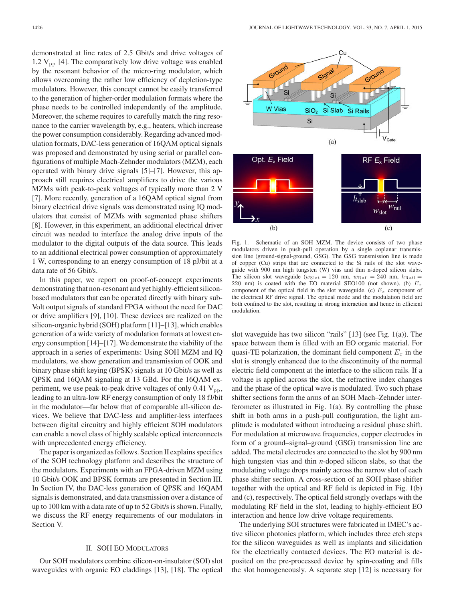demonstrated at line rates of 2.5 Gbit/s and drive voltages of 1.2  $V_{\text{pp}}$  [4]. The comparatively low drive voltage was enabled by the resonant behavior of the micro-ring modulator, which allows overcoming the rather low efficiency of depletion-type modulators. However, this concept cannot be easily transferred to the generation of higher-order modulation formats where the phase needs to be controlled independently of the amplitude. Moreover, the scheme requires to carefully match the ring resonance to the carrier wavelength by, e.g., heaters, which increase the power consumption considerably. Regarding advanced modulation formats, DAC-less generation of 16QAM optical signals was proposed and demonstrated by using serial or parallel configurations of multiple Mach-Zehnder modulators (MZM), each operated with binary drive signals [5]–[7]. However, this approach still requires electrical amplifiers to drive the various MZMs with peak-to-peak voltages of typically more than 2 V [7]. More recently, generation of a 16QAM optical signal from binary electrical drive signals was demonstrated using IQ modulators that consist of MZMs with segmented phase shifters [8]. However, in this experiment, an additional electrical driver circuit was needed to interface the analog drive inputs of the modulator to the digital outputs of the data source. This leads to an additional electrical power consumption of approximately 1 W, corresponding to an energy consumption of 18 pJ/bit at a data rate of 56 Gbit/s.

In this paper, we report on proof-of-concept experiments demonstrating that non-resonant and yet highly-efficient siliconbased modulators that can be operated directly with binary sub-Volt output signals of standard FPGA without the need for DAC or drive amplifiers [9], [10]. These devices are realized on the silicon-organic hybrid (SOH) platform [11]–[13], which enables generation of a wide variety of modulation formats at lowest energy consumption [14]–[17]. We demonstrate the viability of the approach in a series of experiments: Using SOH MZM and IQ modulators, we show generation and transmission of OOK and binary phase shift keying (BPSK) signals at 10 Gbit/s as well as QPSK and 16QAM signaling at 13 GBd. For the 16QAM experiment, we use peak-to-peak drive voltages of only  $0.41$   $V_{\text{pp}}$ , leading to an ultra-low RF energy consumption of only 18 fJ/bit in the modulator—far below that of comparable all-silicon devices. We believe that DAC-less and amplifier-less interfaces between digital circuitry and highly efficient SOH modulators can enable a novel class of highly scalable optical interconnects with unprecedented energy efficiency.

The paper is organized as follows. Section II explains specifics of the SOH technology platform and describes the structure of the modulators. Experiments with an FPGA-driven MZM using 10 Gbit/s OOK and BPSK formats are presented in Section III. In Section IV, the DAC-less generation of QPSK and 16QAM signals is demonstrated, and data transmission over a distance of up to 100 km with a data rate of up to 52 Gbit/s is shown. Finally, we discuss the RF energy requirements of our modulators in Section V.

#### II. SOH EO MODULATORS

Our SOH modulators combine silicon-on-insulator (SOI) slot waveguides with organic EO claddings [13], [18]. The optical



Fig. 1. Schematic of an SOH MZM. The device consists of two phase modulators driven in push-pull operation by a single coplanar transmission line (ground-signal-ground, GSG). The GSG transmission line is made of copper (Cu) strips that are connected to the Si rails of the slot waveguide with 900 nm high tungsten (W) vias and thin n-doped silicon slabs. The silicon slot waveguide ( $w_{\text{Slot}} = 120$  nm,  $w_{\text{Rain}} = 240$  nm,  $h_{\text{Rain}} =$ 220 nm) is coated with the EO material SEO100 (not shown). (b)  $E_x$ component of the optical field in the slot waveguide. (c)  $E_x$  component of the electrical RF drive signal. The optical mode and the modulation field are both confined to the slot, resulting in strong interaction and hence in efficient modulation.

slot waveguide has two silicon "rails" [13] (see Fig. 1(a)). The space between them is filled with an EO organic material. For quasi-TE polarization, the dominant field component  $E_x$  in the slot is strongly enhanced due to the discontinuity of the normal electric field component at the interface to the silicon rails. If a voltage is applied across the slot, the refractive index changes and the phase of the optical wave is modulated. Two such phase shifter sections form the arms of an SOH Mach–Zehnder interferometer as illustrated in Fig. 1(a). By controlling the phase shift in both arms in a push-pull configuration, the light amplitude is modulated without introducing a residual phase shift. For modulation at microwave frequencies, copper electrodes in form of a ground–signal–ground (GSG) transmission line are added. The metal electrodes are connected to the slot by 900 nm high tungsten vias and thin *n*-doped silicon slabs, so that the modulating voltage drops mainly across the narrow slot of each phase shifter section. A cross-section of an SOH phase shifter together with the optical and RF field is depicted in Fig. 1(b) and (c), respectively. The optical field strongly overlaps with the modulating RF field in the slot, leading to highly-efficient EO interaction and hence low drive voltage requirements.

The underlying SOI structures were fabricated in IMEC's active silicon photonics platform, which includes three etch steps for the silicon waveguides as well as implants and silicidation for the electrically contacted devices. The EO material is deposited on the pre-processed device by spin-coating and fills the slot homogeneously. A separate step [12] is necessary for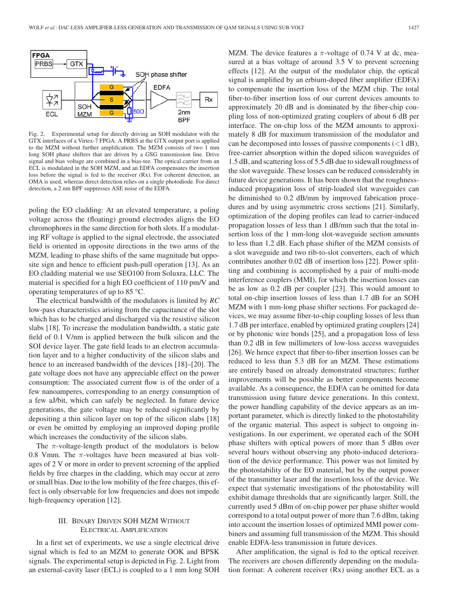

Fig. 2. Experimental setup for directly driving an SOH modulator with the GTX interfaces of a Virtex-7 FPGA. A PRBS at the GTX output port is applied to the MZM without further amplification. The MZM consists of two 1 mm long SOH phase shifters that are driven by a GSG transmission line. Drive signal and bias voltage are combined in a bias-tee. The optical carrier from an ECL is modulated in the SOH MZM, and an EDFA compensates the insertion loss before the signal is fed to the receiver  $(Rx)$ . For coherent detection, an OMA is used, whereas direct detection relies on a single photodiode. For direct detection, a 2 nm BPF suppresses ASE noise of the EDFA.

poling the EO cladding: At an elevated temperature, a poling voltage across the (floating) ground electrodes aligns the EO chromophores in the same direction for both slots. If a modulating RF voltage is applied to the signal electrode, the associated field is oriented in opposite directions in the two arms of the MZM, leading to phase shifts of the same magnitude but opposite sign and hence to efficient push-pull operation [13]. As an EO cladding material we use SEO100 from Soluxra, LLC. The material is specified for a high EO coefficient of 110 pm/V and operating temperatures of up to 85 °C.

The electrical bandwidth of the modulators is limited by *RC* low-pass characteristics arising from the capacitance of the slot which has to be charged and discharged via the resistive silicon slabs [18]. To increase the modulation bandwidth, a static gate field of 0.1 V/nm is applied between the bulk silicon and the SOI device layer. The gate field leads to an electron accumulation layer and to a higher conductivity of the silicon slabs and hence to an increased bandwidth of the devices [18]–[20]. The gate voltage does not have any appreciable effect on the power consumption: The associated current flow is of the order of a few nanoamperes, corresponding to an energy consumption of a few aJ/bit, which can safely be neglected. In future device generations, the gate voltage may be reduced significantly by depositing a thin silicon layer on top of the silicon slabs [18] or even be omitted by employing an improved doping profile which increases the conductivity of the silicon slabs.

The  $\pi$ -voltage-length product of the modulators is below 0.8 Vmm. The  $\pi$ -voltages have been measured at bias voltages of 2 V or more in order to prevent screening of the applied fields by free charges in the cladding, which may occur at zero or small bias. Due to the low mobility of the free charges, this effect is only observable for low frequencies and does not impede high-frequency operation [12].

### III. BINARY DRIVEN SOH MZM WITHOUT ELECTRICAL AMPLIFICATION

In a first set of experiments, we use a single electrical drive signal which is fed to an MZM to generate OOK and BPSK signals. The experimental setup is depicted in Fig. 2. Light from an external-cavity laser (ECL) is coupled to a 1 mm long SOH MZM. The device features a  $\pi$ -voltage of 0.74 V at dc, measured at a bias voltage of around 3.5 V to prevent screening effects [12]. At the output of the modulator chip, the optical signal is amplified by an erbium-doped fiber amplifier (EDFA) to compensate the insertion loss of the MZM chip. The total fiber-to-fiber insertion loss of our current devices amounts to approximately 20 dB and is dominated by the fiber-chip coupling loss of non-optimized grating couplers of about 6 dB per interface. The on-chip loss of the MZM amounts to approximately 8 dB for maximum transmission of the modulator and can be decomposed into losses of passive components  $(< 1 \text{ dB})$ , free-carrier absorption within the doped silicon waveguides of 1.5 dB, and scattering loss of 5.5 dB due to sidewall roughness of the slot waveguide. These losses can be reduced considerably in future device generations. It has been shown that the roughnessinduced propagation loss of strip-loaded slot waveguides can be diminished to 0.2 dB/mm by improved fabrication procedures and by using asymmetric cross sections [21]. Similarly, optimization of the doping profiles can lead to carrier-induced propagation losses of less than 1 dB/mm such that the total insertion loss of the 1 mm-long slot-waveguide section amounts to less than 1.2 dB. Each phase shifter of the MZM consists of a slot waveguide and two rib-to-slot converters, each of which contributes another 0.02 dB of insertion loss [22]. Power splitting and combining is accomplished by a pair of multi-mode interference couplers (MMI), for which the insertion losses can be as low as 0.2 dB per coupler [23]. This would amount to total on-chip insertion losses of less than 1.7 dB for an SOH MZM with 1 mm-long phase shifter sections. For packaged devices, we may assume fiber-to-chip coupling losses of less than 1.7 dB per interface, enabled by optimized grating couplers [24] or by photonic wire bonds [25], and a propagation loss of less than 0.2 dB in few millimeters of low-loss access waveguides [26]. We hence expect that fiber-to-fiber insertion losses can be reduced to less than 5.3 dB for an MZM. These estimations are entirely based on already demonstrated structures; further improvements will be possible as better components become available. As a consequence, the EDFA can be omitted for data transmission using future device generations. In this context, the power handling capability of the device appears as an important parameter, which is directly linked to the photostability of the organic material. This aspect is subject to ongoing investigations. In our experiment, we operated each of the SOH phase shifters with optical powers of more than 5 dBm over several hours without observing any photo-induced deterioration of the device performance. This power was not limited by the photostability of the EO material, but by the output power of the transmitter laser and the insertion loss of the device. We expect that systematic investigations of the photostability will exhibit damage thresholds that are significantly larger. Still, the currently used 5 dBm of on-chip power per phase shifter would correspond to a total output power of more than 7.6 dBm, taking into account the insertion losses of optimized MMI power combiners and assuming full transmission of the MZM. This should enable EDFA-less transmission in future devices.

After amplification, the signal is fed to the optical receiver. The receivers are chosen differently depending on the modulation format: A coherent receiver (Rx) using another ECL as a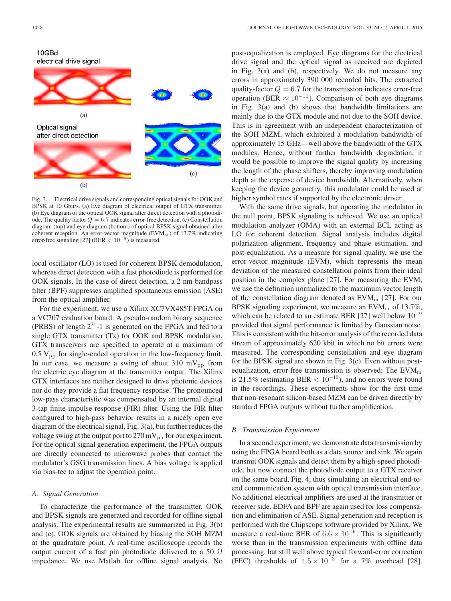

Fig. 3. Electrical drive signals and corresponding optical signals for OOK and BPSK at 10 Gbit/s. (a) Eye diagram of electrical output of GTX transmitter. (b) Eye diagram of the optical OOK signal after direct detection with a photodiode. The quality factor  $\overline{Q} = 6.7$  indicates error-free detection. (c) Constellation diagram (top) and eye diagram (bottom) of optical BPSK signal obtained after coherent reception. An error-vector magnitude ( $EVM<sub>m</sub>$ ) of 13.7% indicating error-free signaling [27] (BER <  $10^{-9}$ ) is measured.

local oscillator (LO) is used for coherent BPSK demodulation, whereas direct detection with a fast photodiode is performed for OOK signals. In the case of direct detection, a 2 nm bandpass filter (BPF) suppresses amplified spontaneous emission (ASE) from the optical amplifier.

For the experiment, we use a Xilinx XC7VX485T FPGA on a VC707 evaluation board. A pseudo-random binary sequence (PRBS) of length  $2^{31}$ -1 is generated on the FPGA and fed to a single GTX transmitter (Tx) for OOK and BPSK modulation. GTX transceivers are specified to operate at a maximum of  $0.5 V_{\text{pp}}$  for single-ended operation in the low-frequency limit. In our case, we measure a swing of about 310 mV<sub>pp</sub> from the electric eye diagram at the transmitter output. The Xilinx GTX interfaces are neither designed to drive photonic devices nor do they provide a flat frequency response. The pronounced low-pass characteristic was compensated by an internal digital 3-tap finite-impulse response (FIR) filter. Using the FIR filter configured to high-pass behavior results in a nicely open eye diagram of the electrical signal, Fig. 3(a), but further reduces the voltage swing at the output port to  $270 \,\mathrm{mV_{pp}}$  for our experiment. For the optical signal generation experiment, the FPGA outputs are directly connected to microwave probes that contact the modulator's GSG transmission lines. A bias voltage is applied via bias-tee to adjust the operation point.

#### *A. Signal Generation*

To characterize the performance of the transmitter, OOK and BPSK signals are generated and recorded for offline signal analysis. The experimental results are summarized in Fig. 3(b) and (c). OOK signals are obtained by biasing the SOH MZM at the quadrature point. A real-time oscilloscope records the output current of a fast pin photodiode delivered to a 50  $\Omega$ impedance. We use Matlab for offline signal analysis. No

post-equalization is employed. Eye diagrams for the electrical drive signal and the optical signal as received are depicted in Fig. 3(a) and (b), respectively. We do not measure any errors in approximately 390 000 recorded bits. The extracted quality-factor  $Q = 6.7$  for the transmission indicates error-free operation (BER  $\approx 10^{-11}$ ). Comparison of both eye diagrams in Fig. 3(a) and (b) shows that bandwidth limitations are mainly due to the GTX module and not due to the SOH device. This is in agreement with an independent characterization of the SOH MZM, which exhibited a modulation bandwidth of approximately 15 GHz—well above the bandwidth of the GTX modules. Hence, without further bandwidth degradation, it would be possible to improve the signal quality by increasing the length of the phase shifters, thereby improving modulation depth at the expense of device bandwidth. Alternatively, when keeping the device geometry, this modulator could be used at higher symbol rates if supported by the electronic driver.

With the same drive signals, but operating the modulator in the null point, BPSK signaling is achieved. We use an optical modulation analyzer (OMA) with an external ECL acting as LO for coherent detection. Signal analysis includes digital polarization alignment, frequency and phase estimation, and post-equalization. As a measure for signal quality, we use the error-vector magnitude (EVM), which represents the mean deviation of the measured constellation points from their ideal position in the complex plane [27]. For measuring the EVM, we use the definition normalized to the maximum vector length of the constellation diagram denoted as  $EVM<sub>m</sub>$  [27]. For our BPSK signaling experiment, we measure an  $EVM<sub>m</sub>$  of 13.7%, which can be related to an estimate BER [27] well below  $10^{-9}$ provided that signal performance is limited by Gaussian noise. This is consistent with the bit-error analysis of the recorded data stream of approximately 620 kbit in which no bit errors were measured. The corresponding constellation and eye diagram for the BPSK signal are shown in Fig. 3(c). Even without postequalization, error-free transmission is observed: The  $EVM<sub>m</sub>$ is 21.5% (estimating BER  $< 10^{-10}$ ), and no errors were found in the recordings. These experiments show for the first time that non-resonant silicon-based MZM can be driven directly by standard FPGA outputs without further amplification.

#### *B. Transmission Experiment*

In a second experiment, we demonstrate data transmission by using the FPGA board both as a data source and sink. We again transmit OOK signals and detect them by a high-speed photodiode, but now connect the photodiode output to a GTX receiver on the same board, Fig. 4, thus simulating an electrical end-toend communication system with optical transmission interface. No additional electrical amplifiers are used at the transmitter or receiver side. EDFA and BPF are again used for loss compensation and elimination of ASE. Signal generation and reception is performed with the Chipscope software provided by Xilinx. We measure a real-time BER of  $6.6 \times 10^{-6}$ . This is significantly worse than in the transmission experiments with offline data processing, but still well above typical forward-error correction (FEC) thresholds of  $4.5 \times 10^{-3}$  for a 7% overhead [28].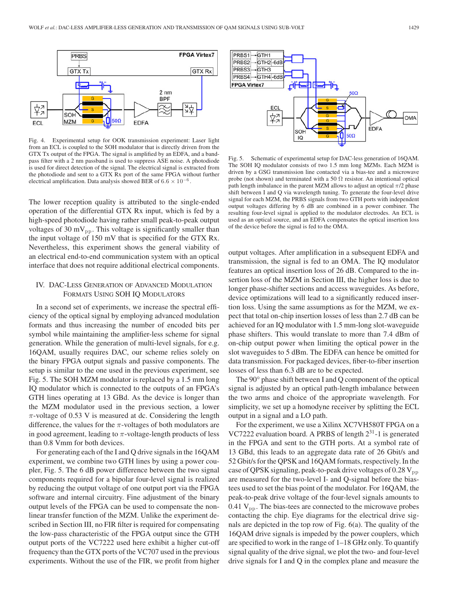

Fig. 4. Experimental setup for OOK transmission experiment: Laser light from an ECL is coupled to the SOH modulator that is directly driven from the GTX Tx output of the FPGA. The signal is amplified by an EDFA, and a bandpass filter with a 2 nm passband is used to suppress ASE noise. A photodiode is used for direct detection of the signal. The electrical signal is extracted from the photodiode and sent to a GTX Rx port of the same FPGA without further electrical amplification. Data analysis showed BER of  $6.6 \times 10^{-6}$ .

The lower reception quality is attributed to the single-ended operation of the differential GTX Rx input, which is fed by a high-speed photodiode having rather small peak-to-peak output voltages of 30 m $V_{\text{pp}}$ . This voltage is significantly smaller than the input voltage of 150 mV that is specified for the GTX Rx. Nevertheless, this experiment shows the general viability of an electrical end-to-end communication system with an optical interface that does not require additional electrical components.

## IV. DAC-LESS GENERATION OF ADVANCED MODULATION FORMATS USING SOH IQ MODULATORS

In a second set of experiments, we increase the spectral efficiency of the optical signal by employing advanced modulation formats and thus increasing the number of encoded bits per symbol while maintaining the amplifier-less scheme for signal generation. While the generation of multi-level signals, for e.g. 16QAM, usually requires DAC, our scheme relies solely on the binary FPGA output signals and passive components. The setup is similar to the one used in the previous experiment, see Fig. 5. The SOH MZM modulator is replaced by a 1.5 mm long IQ modulator which is connected to the outputs of an FPGA's GTH lines operating at 13 GBd. As the device is longer than the MZM modulator used in the previous section, a lower  $\pi$ -voltage of 0.53 V is measured at dc. Considering the length difference, the values for the  $\pi$ -voltages of both modulators are in good agreement, leading to  $\pi$ -voltage-length products of less than 0.8 Vmm for both devices.

For generating each of the I and Q drive signals in the 16QAM experiment, we combine two GTH lines by using a power coupler, Fig. 5. The 6 dB power difference between the two signal components required for a bipolar four-level signal is realized by reducing the output voltage of one output port via the FPGA software and internal circuitry. Fine adjustment of the binary output levels of the FPGA can be used to compensate the nonlinear transfer function of the MZM. Unlike the experiment described in Section III, no FIR filter is required for compensating the low-pass characteristic of the FPGA output since the GTH output ports of the VC7222 used here exhibit a higher cut-off frequency than the GTX ports of the VC707 used in the previous experiments. Without the use of the FIR, we profit from higher



Fig. 5. Schematic of experimental setup for DAC-less generation of 16QAM. The SOH IQ modulator consists of two 1.5 mm long MZMs. Each MZM is driven by a GSG transmission line contacted via a bias-tee and a microwave probe (not shown) and terminated with a 50  $\Omega$  resistor. An intentional optical path length imbalance in the parent MZM allows to adjust an optical  $\pi/2$  phase shift between I and Q via wavelength tuning. To generate the four-level drive signal for each MZM, the PRBS signals from two GTH ports with independent output voltages differing by 6 dB are combined in a power combiner. The resulting four-level signal is applied to the modulator electrodes. An ECL is used as an optical source, and an EDFA compensates the optical insertion loss of the device before the signal is fed to the OMA.

output voltages. After amplification in a subsequent EDFA and transmission, the signal is fed to an OMA. The IQ modulator features an optical insertion loss of 26 dB. Compared to the insertion loss of the MZM in Section III, the higher loss is due to longer phase-shifter sections and access waveguides. As before, device optimizations will lead to a significantly reduced insertion loss. Using the same assumptions as for the MZM, we expect that total on-chip insertion losses of less than 2.7 dB can be achieved for an IQ modulator with 1.5 mm-long slot-waveguide phase shifters. This would translate to more than 7.4 dBm of on-chip output power when limiting the optical power in the slot waveguides to 5 dBm. The EDFA can hence be omitted for data transmission. For packaged devices, fiber-to-fiber insertion losses of less than 6.3 dB are to be expected.

The 90° phase shift between I and Q component of the optical signal is adjusted by an optical path-length imbalance between the two arms and choice of the appropriate wavelength. For simplicity, we set up a homodyne receiver by splitting the ECL output in a signal and a LO path.

For the experiment, we use a Xilinx XC7VH580T FPGA on a VC7222 evaluation board. A PRBS of length  $2^{31}$ -1 is generated in the FPGA and sent to the GTH ports. At a symbol rate of 13 GBd, this leads to an aggregate data rate of 26 Gbit/s and 52 Gbit/s for the QPSK and 16QAM formats, respectively. In the case of QPSK signaling, peak-to-peak drive voltages of 0.28  $V_{\text{pp}}$ are measured for the two-level I- and Q-signal before the biastees used to set the bias point of the modulator. For 16QAM, the peak-to-peak drive voltage of the four-level signals amounts to 0.41  $V_{\text{pp}}$ . The bias-tees are connected to the microwave probes contacting the chip. Eye diagrams for the electrical drive signals are depicted in the top row of Fig. 6(a). The quality of the 16QAM drive signals is impeded by the power couplers, which are specified to work in the range of 1–18 GHz only. To quantify signal quality of the drive signal, we plot the two- and four-level drive signals for I and Q in the complex plane and measure the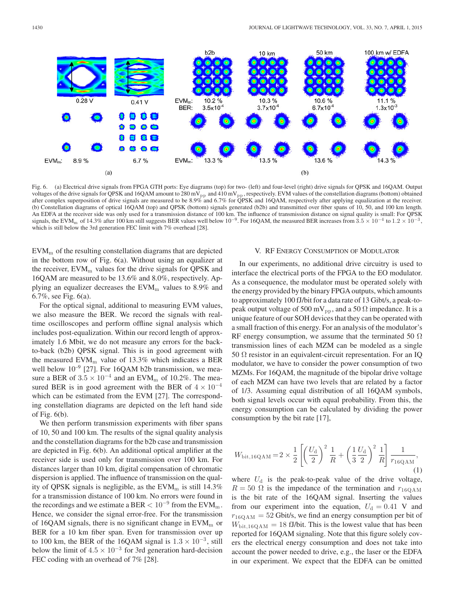

Fig. 6. (a) Electrical drive signals from FPGA GTH ports: Eye diagrams (top) for two- (left) and four-level (right) drive signals for QPSK and 16QAM. Output voltages of the drive signals for QPSK and 16QAM amount to 280 mV<sub>pp</sub> and 410 mV<sub>pp</sub>, respectively. EVM values of the constellation diagrams (bottom) obtained after complex superposition of drive signals are measured to be 8.9% and 6.7% for QPSK and 16QAM, respectively after applying equalization at the receiver. (b) Constellation diagrams of optical 16QAM (top) and QPSK (bottom) signals generated (b2b) and transmitted over fiber spans of 10, 50, and 100 km length. An EDFA at the receiver side was only used for a transmission distance of 100 km. The influence of transmission distance on signal quality is small: For QPSK signals, the EVM<sub>m</sub> of 14.3% after 100 km still suggests BER values well below 10<sup>-9</sup>. For 16QAM, the measured BER increases from  $3.5 \times 10^{-4}$  to  $1.2 \times 10^{-3}$ , which is still below the 3rd generation FEC limit with 7% overhead [28].

 $EVM<sub>m</sub>$  of the resulting constellation diagrams that are depicted in the bottom row of Fig. 6(a). Without using an equalizer at the receiver,  $EVM_m$  values for the drive signals for QPSK and 16QAM are measured to be 13.6% and 8.0%, respectively. Applying an equalizer decreases the  $EVM<sub>m</sub>$  values to 8.9% and 6.7%, see Fig. 6(a).

For the optical signal, additional to measuring EVM values, we also measure the BER. We record the signals with realtime oscilloscopes and perform offline signal analysis which includes post-equalization. Within our record length of approximately 1.6 Mbit, we do not measure any errors for the backto-back (b2b) QPSK signal. This is in good agreement with the measured  $EVM_m$  value of 13.3% which indicates a BER well below  $10^{-9}$  [27]. For 16QAM b2b transmission, we measure a BER of  $3.5 \times 10^{-4}$  and an EVM<sub>m</sub> of 10.2%. The measured BER is in good agreement with the BER of  $4 \times 10^{-4}$ which can be estimated from the EVM [27]. The corresponding constellation diagrams are depicted on the left hand side of Fig. 6(b).

We then perform transmission experiments with fiber spans of 10, 50 and 100 km. The results of the signal quality analysis and the constellation diagrams for the b2b case and transmission are depicted in Fig. 6(b). An additional optical amplifier at the receiver side is used only for transmission over 100 km. For distances larger than 10 km, digital compensation of chromatic dispersion is applied. The influence of transmission on the quality of QPSK signals is negligible, as the  $EVM<sub>m</sub>$  is still 14.3% for a transmission distance of 100 km. No errors were found in the recordings and we estimate a BER  $< 10^{-9}$  from the EVM<sub>m</sub>. Hence, we consider the signal error-free. For the transmission of 16QAM signals, there is no significant change in  $EVM<sub>m</sub>$  or BER for a 10 km fiber span. Even for transmission over up to 100 km, the BER of the 16QAM signal is  $1.3 \times 10^{-3}$ , still below the limit of  $4.5 \times 10^{-3}$  for 3rd generation hard-decision FEC coding with an overhead of 7% [28].

#### V. RF ENERGY CONSUMPTION OF MODULATOR

In our experiments, no additional drive circuitry is used to interface the electrical ports of the FPGA to the EO modulator. As a consequence, the modulator must be operated solely with the energy provided by the binary FPGA outputs, which amounts to approximately 100 fJ/bit for a data rate of 13 Gibt/s, a peak-topeak output voltage of 500 mV<sub>pp</sub>, and a 50  $\Omega$  impedance. It is a unique feature of our SOH devices that they can be operated with a small fraction of this energy. For an analysis of the modulator's RF energy consumption, we assume that the terminated 50  $\Omega$ transmission lines of each MZM can be modeled as a single 50  $\Omega$  resistor in an equivalent-circuit representation. For an IQ modulator, we have to consider the power consumption of two MZMs. For 16QAM, the magnitude of the bipolar drive voltage of each MZM can have two levels that are related by a factor of 1/3. Assuming equal distribution of all 16QAM symbols, both signal levels occur with equal probability. From this, the energy consumption can be calculated by dividing the power consumption by the bit rate [17],

$$
W_{\text{bit},16QAM} = 2 \times \frac{1}{2} \left[ \left( \frac{U_{\text{d}}}{2} \right)^2 \frac{1}{R} + \left( \frac{1}{3} \frac{U_{\text{d}}}{2} \right)^2 \frac{1}{R} \right] \frac{1}{r_{16QAM}},\tag{1}
$$

where  $U_d$  is the peak-to-peak value of the drive voltage,  $R = 50 \Omega$  is the impedance of the termination and  $r_{16QAM}$ is the bit rate of the 16QAM signal. Inserting the values from our experiment into the equation,  $U_d = 0.41$  V and  $r_{16QAM} = 52$  Gbit/s, we find an energy consumption per bit of  $W_{\text{bit},16QAM} = 18 \text{ fJ/bit}$ . This is the lowest value that has been reported for 16QAM signaling. Note that this figure solely covers the electrical energy consumption and does not take into account the power needed to drive, e.g., the laser or the EDFA in our experiment. We expect that the EDFA can be omitted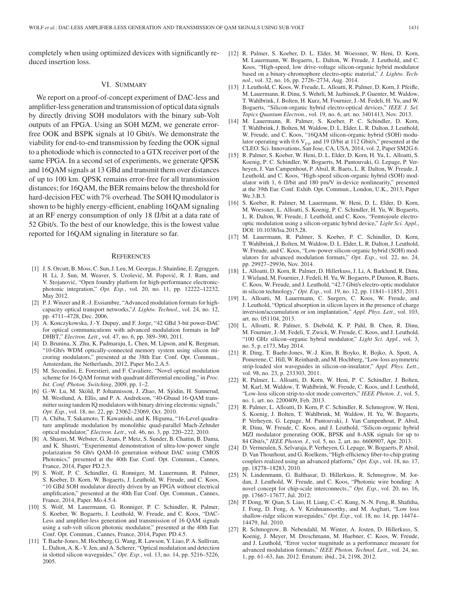completely when using optimized devices with significantly reduced insertion loss.

#### VI. SUMMARY

We report on a proof-of-concept experiment of DAC-less and amplifier-less generation and transmission of optical data signals by directly driving SOH modulators with the binary sub-Volt outputs of an FPGA. Using an SOH MZM, we generate errorfree OOK and BSPK signals at 10 Gbit/s. We demonstrate the viability for end-to-end transmission by feeding the OOK signal to a photodiode which is connected to a GTX receiver port of the same FPGA. In a second set of experiments, we generate QPSK and 16QAM signals at 13 GBd and transmit them over distances of up to 100 km. QPSK remains error-free for all transmission distances; for 16QAM, the BER remains below the threshold for hard-decision FEC with 7% overhead. The SOH IQ modulator is shown to be highly energy-efficient, enabling 16QAM signaling at an RF energy consumption of only 18 fJ/bit at a data rate of 52 Gbit/s. To the best of our knowledge, this is the lowest value reported for 16QAM signaling in literature so far.

#### **REFERENCES**

- [1] J. S. Orcutt, B. Moss, C. Sun, J. Leu, M. Georgas, J. Shainline, E. Zgraggen, H. Li, J. Sun, M. Weaver, S. Urošević, M. Popović, R. J. Ram, and V. Stojanovic, "Open foundry platform for high-performance electronic- ´ photonic integration," *Opt. Exp.*, vol. 20, no. 11, pp. 12222–12232, May 2012.
- [2] P. J. Winzer and R.-J. Essiambre, "Advanced modulation formats for highcapacity optical transport networks,"*J. Lightw. Technol.*, vol. 24, no. 12, pp. 4711–4728, Dec. 2006.
- [3] A. Konczykowska, J.-Y. Dupuy, and F. Jorge, "42 GBd 3-bit power-DAC for optical communications with advanced modulation formats in InP DHBT," *Electron. Lett*., vol. 47, no. 6, pp. 389–390, 2011.
- [4] D. Brunina, X. Zhu, K. Padmaraju, L. Chen, M. Lipson, and K. Bergman, "10-Gb/s WDM optically-connected memory system using silicon microring modulators," presented at the 38th Eur. Conf. Opt. Commun., Amsterdam, the Netherlands, 2012, Paper Mo.2.A.5.
- [5] M. Secondini, E. Forestieri, and F. Cavaliere, "Novel optical modulation scheme for 16-QAM format with quadrant differential encoding," in *Proc. Int. Conf. Photon. Switching*, 2009, pp. 1–2.
- [6] G.-W. Lu, M. Sköld, P. Johannisson, J. Zhao, M. Sjödin, H. Sunnerud, M. Westlund, A. Ellis, and P. A. Andrekson, "40-Gbaud 16-QAM transmitter using tandem IQ modulators with binary driving electronic signals," *Opt. Exp.*, vol. 18, no. 22, pp. 23062–23069, Oct. 2010.
- [7] A. Chiba, T. Sakamoto, T. Kawanishi, and K. Higuma, "16-Level quadrature amplitude modulation by monolithic quad-parallel Mach-Zehnder optical modulator," *Electron. Lett*., vol. 46, no. 3, pp. 220–222, 2010.
- [8] A. Shastri, M. Webster, G. Jeans, P. Metz, S. Sunder, B. Chattin, B. Dama, and K. Shastri, "Experimental demonstration of ultra-low-power single polarization 56 Gb/s QAM-16 generation without DAC using CMOS Photonics," presented at the 40th Eur. Conf. Opt. Commun., Cannes, France, 2014, Paper PD.2.5.
- [9] S. Wolf, P. C. Schindler, G. Ronniger, M. Lauermann, R. Palmer, S. Koeber, D. Korn, W. Bogaerts, J. Leuthold, W. Freude, and C. Koos, "10 GBd SOH modulator directly driven by an FPGA without electrical amplification," presented at the 40th Eur Conf. Opt. Commun., Cannes, France, 2014, Paper. Mo.4.5.4.
- [10] S. Wolf, M. Lauermann, G. Ronniger, P. C. Schindler, R. Palmer, S. Koeber, W. Bogaerts, J. Leuthold, W. Freude, and C. Koos, "DAC-Less and amplifier-less generation and transmission of 16 QAM signals using a sub-volt silicon photonic modulator," presented at the 40th Eur. Conf. Opt. Commun., Cannes, France, 2014, Paper. PD.4.5.
- [11] T. Baehr-Jones, M. Hochberg, G. Wang, R. Lawson, Y. Liao, P. A. Sullivan, L. Dalton, A. K.-Y. Jen, and A. Scherer, "Optical modulation and detection in slotted silicon waveguides," *Opt. Exp.*, vol. 13, no. 14, pp. 5216–5226, 2005.
- [12] R. Palmer, S. Koeber, D. L. Elder, M. Woessner, W. Heni, D. Korn, M. Lauermann, W. Bogaerts, L. Dalton, W. Freude, J. Leuthold, and C. Koos, "High-speed, low drive-voltage silicon-organic hybrid modulator based on a binary-chromophore electro-optic material," *J. Lightw. Technol.*, vol. 32, no. 16, pp. 2726–2734, Aug. 2014.
- [13] J. Leuthold, C. Koos, W. Freude, L. Alloatti, R. Palmer, D. Korn, J. Pfeifle, M. Lauermann, R. Dinu, S. Wehrli, M. Jazbinsek, P. Guenter, M. Waldow, T. Wahlbrink, J. Bolten, H. Kurz, M. Fournier, J.-M. Fedeli, H. Yu, and W. Bogaerts, "Silicon-organic hybrid electro-optical devices," *IEEE J. Sel. Topics Quantum Electron.*, vol. 19, no. 6, art. no. 3401413, Nov. 2013.
- [14] M. Lauermann, R. Palmer, S. Koeber, P. C. Schindler, D. Korn, T. Wahlbrink, J. Bolten, M. Waldow, D. L. Elder, L. R. Dalton, J. Leuthold, W. Freude, and C. Koos, "16QAM silicon-organic hybrid (SOH) modulator operating with 0.6  $V_{pp}$  and 19 fJ/bit at 112 Gbit/s," presented at the CLEO: Sci. Innovations, San Jose, CA, USA, 2014, vol. 2, Paper SM2G.6.
- [15] R. Palmer, S. Koeber, W. Heni, D. L. Elder, D. Korn, H. Yu, L. Alloatti, S. Koenig, P. C. Schindler, W. Bogaerts, M. Pantouvaki, G. Lepage, P. Verheyen, J. Van Campenhout, P. Absil, R. Baets, L. R. Dalton, W. Freude, J. Leuthold, and C. Koos, "High-speed silicon-organic hybrid (SOH) modulator with 1, 6 fJ/bit and 180 pm/V in-device nonlinearity," presented at the 39th Eur. Conf. Exhib. Opt. Commun., London, U.K., 2013, Paper We.3.B.3.
- [16] S. Koeber, R. Palmer, M. Lauermann, W. Heni, D. L. Elder, D. Korn, M. Woessner, L. Alloatti, S. Koenig, P. C. Schindler, H. Yu, W. Bogaerts, L. R. Dalton, W. Freude, J. Leuthold, and C. Koos, "Femtojoule electrooptic modulation using a silicon-organic hybrid device," *Light Sci. Appl.*, DOI: 10.1038/lsa.2015.28.
- [17] M. Lauermann, R. Palmer, S. Koeber, P. C. Schindler, D. Korn, T. Wahlbrink, J. Bolten, M. Waldow, D. L. Elder, L. R. Dalton, J. Leuthold, W. Freude, and C. Koos, "Low-power silicon-organic hybrid (SOH) modulators for advanced modulation formats," *Opt. Exp.*, vol. 22, no. 24, pp. 29927–29936, Nov. 2014.
- [18] L. Alloatti, D. Korn, R. Palmer, D. Hillerkuss, J. Li, A. Barklund, R. Dinu, J. Wieland, M. Fournier, J. Fedeli, H. Yu, W. Bogaerts, P. Dumon, R. Baets, C. Koos, W. Freude, and J. Leuthold, "42.7 Gbit/s electro-optic modulator in silicon technology," *Opt. Exp.*, vol. 19, no. 12, pp. 11841–11851, 2011.
- [19] L. Alloatti, M. Lauermann, C. Surgers, C. Koos, W. Freude, and J. Leuthold, "Optical absorption in silicon layers in the presence of charge inversion/accumulation or ion implantation," *Appl. Phys. Lett*., vol. 103, art. no. 051104, 2013.
- [20] L. Alloatti, R. Palmer, S. Diebold, K. P. Pahl, B. Chen, R. Dinu, M. Fournier, J.-M. Fedeli, T. Zwick, W. Freude, C. Koos, and J. Leuthold, "100 GHz silicon–organic hybrid modulator," *Light Sci. Appl.*, vol. 3, no. 5, p. e173, May 2014.
- [21] R. Ding, T. Baehr-Jones, W.-J. Kim, B. Boyko, R. Bojko, A. Spott, A. Pomerene, C. Hill, W. Reinhardt, and M. Hochberg, "Low-loss asymmetric strip-loaded slot waveguides in silicon-on-insulator," *Appl. Phys. Lett.*, vol. 98, no. 23, p. 233303, 2011.
- [22] R. Palmer, L. Alloatti, D. Korn, W. Heni, P. C. Schindler, J. Bolten, M. Karl, M. Waldow, T. Wahlbrink, W. Freude, C. Koos, and J. Leuthold, "Low-loss silicon strip-to-slot mode converters," *IEEE Photon. J.*, vol. 5, no. 1, art. no. 2200409, Feb. 2013.
- [23] R. Palmer, L. Alloatti, D. Korn, P. C. Schindler, R. Schmogrow, W. Heni, S. Koenig, J. Bolten, T. Wahlbrink, M. Waldow, H. Yu, W. Bogaerts, P. Verheyen, G. Lepage, M. Pantouvaki, J. Van Campenhout, P. Absil, R. Dinu, W. Freude, C. Koos, and J. Leuthold, "Silicon-organic hybrid MZI modulator generating OOK, BPSK and 8-ASK signals for up to 84 Gbit/s," *IEEE Photon. J.*, vol. 5, no. 2, art. no. 6600907, Apr. 2013.
- [24] D. Vermeulen, S. Selvaraja, P. Verheyen, G. Lepage, W. Bogaerts, P. Absil, D. Van Thourhout, and G. Roelkens, "High-efficiency fiber-to-chip grating couplers realized using an advanced platform," *Opt. Exp.*, vol. 18, no. 17, pp. 18278–18283, 2010.
- [25] N. Lindenmann, G. Balthasar, D. Hillerkuss, R. Schmogrow, M. Jordan, J. Leuthold, W. Freude, and C. Koos, "Photonic wire bonding: A novel concept for chip-scale interconnects.," *Opt. Exp.*, vol. 20, no. 16, pp. 17667–17677, Jul. 2012.
- [26] P. Dong, W. Qian, S. Liao, H. Liang, C.-C. Kung, N.-N. Feng, R. Shafiiha, J. Fong, D. Feng, A. V. Krishnamoorthy, and M. Asghari, "Low loss shallow-ridge silicon waveguides," *Opt. Exp.*, vol. 18, no. 14, pp. 14474– 14479, Jul. 2010.
- [27] R. Schmogrow, B. Nebendahl, M. Winter, A. Josten, D. Hillerkuss, S. Koenig, J. Meyer, M. Dreschmann, M. Huebner, C. Koos, W. Freude, and J. Leuthold, "Error vector magnitude as a performance measure for advanced modulation formats," *IEEE Photon. Technol. Lett.*, vol. 24, no. 1, pp. 61–63, Jan. 2012. Erratum: ibid., 24, 2198, 2012.